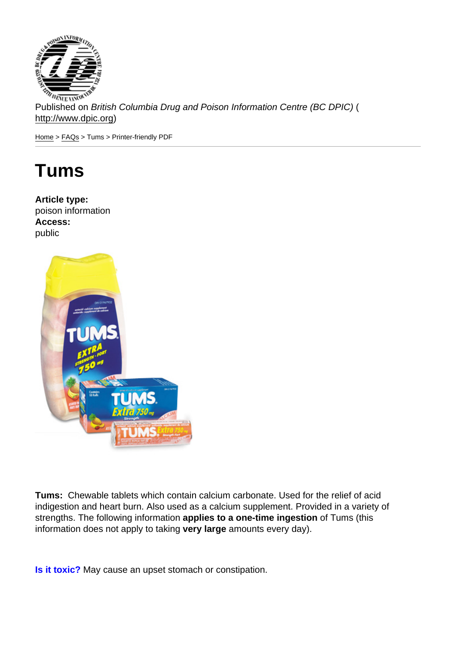Published on British Columbia Drug and Poison Information Centre (BC DPIC) ( http://www.dpic.org)

Home > FAQs > Tums > Printer-friendly PDF

## [Tu](http://www.dpic.org/)[ms](http://www.dpic.org/faq)

Article type: poison information Access: public

Tums: Chewable tablets which contain calcium carbonate. Used for the relief of acid indigestion and heart burn. Also used as a calcium supplement. Provided in a variety of strengths. The following information applies to a one-time ingestion of Tums (this information does not apply to taking very large amounts every day).

Is it toxic? May cause an upset stomach or constipation.